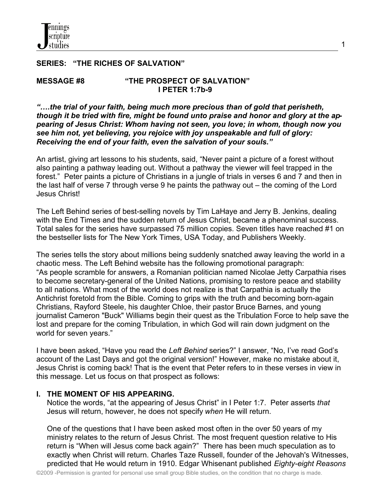## **SERIES: "THE RICHES OF SALVATION"**

#### **MESSAGE #8 "THE PROSPECT OF SALVATION"** **I PETER 1:7b-9**

*"….the trial of your faith, being much more precious than of gold that perisheth, though it be tried with fire, might be found unto praise and honor and glory at the appearing of Jesus Christ: Whom having not seen, you love; in whom, though now you see him not, yet believing, you rejoice with joy unspeakable and full of glory: Receiving the end of your faith, even the salvation of your souls."* 

1

An artist, giving art lessons to his students, said, "Never paint a picture of a forest without also painting a pathway leading out. Without a pathway the viewer will feel trapped in the forest." Peter paints a picture of Christians in a jungle of trials in verses 6 and 7 and then in the last half of verse 7 through verse 9 he paints the pathway out – the coming of the Lord Jesus Christ!

The Left Behind series of best-selling novels by Tim LaHaye and Jerry B. Jenkins, dealing with the End Times and the sudden return of Jesus Christ, became a phenominal success. Total sales for the series have surpassed 75 million copies. Seven titles have reached #1 on the bestseller lists for The New York Times, USA Today, and Publishers Weekly.

The series tells the story about millions being suddenly snatched away leaving the world in a chaotic mess. The Left Behind website has the following promotional paragraph: "As people scramble for answers, a Romanian politician named Nicolae Jetty Carpathia rises to become secretary-general of the United Nations, promising to restore peace and stability to all nations. What most of the world does not realize is that Carpathia is actually the Antichrist foretold from the Bible. Coming to grips with the truth and becoming born-again Christians, Rayford Steele, his daughter Chloe, their pastor Bruce Barnes, and young journalist Cameron "Buck" Williams begin their quest as the Tribulation Force to help save the lost and prepare for the coming Tribulation, in which God will rain down judgment on the world for seven years."

I have been asked, "Have you read the *Left Behind* series?" I answer, "No, I've read God's account of the Last Days and got the original version!" However, make no mistake about it, Jesus Christ is coming back! That is the event that Peter refers to in these verses in view in this message. Let us focus on that prospect as follows:

### **I. THE MOMENT OF HIS APPEARING.**

 Notice the words, "at the appearing of Jesus Christ" in I Peter 1:7. Peter asserts *that* Jesus will return, however, he does not specify *when* He will return.

 One of the questions that I have been asked most often in the over 50 years of my ministry relates to the return of Jesus Christ. The most frequent question relative to His return is "When will Jesus come back again?" There has been much speculation as to exactly when Christ will return. Charles Taze Russell, founder of the Jehovah's Witnesses, predicted that He would return in 1910. Edgar Whisenant published *Eighty-eight Reasons*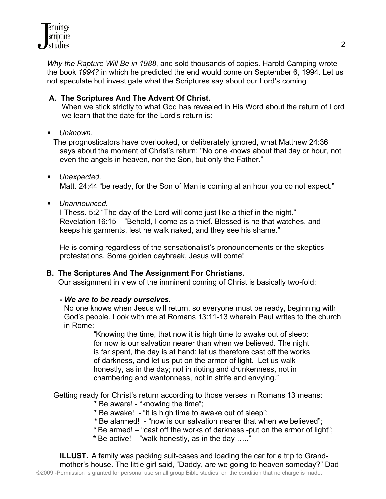*Why the Rapture Will Be in 1988*, and sold thousands of copies. Harold Camping wrote the book *1994?* in which he predicted the end would come on September 6, 1994. Let us not speculate but investigate what the Scriptures say about our Lord's coming.

# **A. The Scriptures And The Advent Of Christ.**

 When we stick strictly to what God has revealed in His Word about the return of Lord we learn that the date for the Lord's return is:

## *Unknown.*

 The prognosticators have overlooked, or deliberately ignored, what Matthew 24:36 says about the moment of Christ's return: "No one knows about that day or hour, not even the angels in heaven, nor the Son, but only the Father."

- *Unexpected.* Matt. 24:44 "be ready, for the Son of Man is coming at an hour you do not expect."
- *Unannounced.*

 I Thess. 5:2 "The day of the Lord will come just like a thief in the night." Revelation 16:15 – "Behold, I come as a thief. Blessed is he that watches, and keeps his garments, lest he walk naked, and they see his shame."

 He is coming regardless of the sensationalist's pronouncements or the skeptics protestations. Some golden daybreak, Jesus will come!

# **B. The Scriptures And The Assignment For Christians.**

Our assignment in view of the imminent coming of Christ is basically two-fold:

# *- We are to be ready ourselves.*

 No one knows when Jesus will return, so everyone must be ready, beginning with God's people. Look with me at Romans 13:11-13 wherein Paul writes to the church in Rome:

 "Knowing the time, that now it is high time to awake out of sleep: for now is our salvation nearer than when we believed. The night is far spent, the day is at hand: let us therefore cast off the works of darkness, and let us put on the armor of light. Let us walk honestly, as in the day; not in rioting and drunkenness, not in chambering and wantonness, not in strife and envying."

Getting ready for Christ's return according to those verses in Romans 13 means:

- **\*** Be aware! "knowing the time";
- **\*** Be awake! "it is high time to awake out of sleep";
- **\*** Be alarmed! "now is our salvation nearer that when we believed";
- **\*** Be armed! "cast off the works of darkness -put on the armor of light";
- **\*** Be active! "walk honestly, as in the day ….."

 **ILLUST.** A family was packing suit-cases and loading the car for a trip to Grand mother's house. The little girl said, "Daddy, are we going to heaven someday?" Dad ©2009 -Permission is granted for personal use small group Bible studies, on the condition that no charge is made.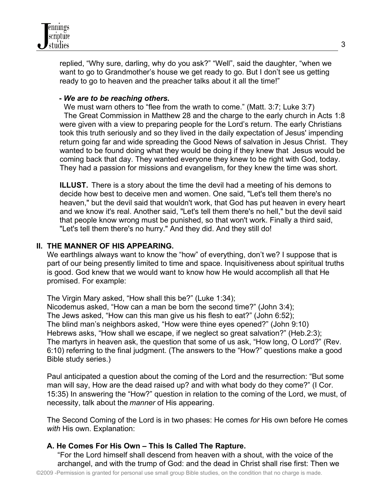

 replied, "Why sure, darling, why do you ask?" "Well", said the daughter, "when we want to go to Grandmother's house we get ready to go. But I don't see us getting ready to go to heaven and the preacher talks about it all the time!"

#### **-** *We are to be reaching others***.**

We must warn others to "flee from the wrath to come." (Matt. 3:7; Luke 3:7) The Great Commission in Matthew 28 and the charge to the early church in Acts 1:8 were given with a view to preparing people for the Lord's return. The early Christians took this truth seriously and so they lived in the daily expectation of Jesus' impending return going far and wide spreading the Good News of salvation in Jesus Christ. They wanted to be found doing what they would be doing if they knew that Jesus would be coming back that day. They wanted everyone they knew to be right with God, today. They had a passion for missions and evangelism, for they knew the time was short.

**ILLUST.** There is a story about the time the devil had a meeting of his demons to decide how best to deceive men and women. One said, "Let's tell them there's no heaven," but the devil said that wouldn't work, that God has put heaven in every heart and we know it's real. Another said, "Let's tell them there's no hell," but the devil said that people know wrong must be punished, so that won't work. Finally a third said, "Let's tell them there's no hurry." And they did. And they still do!

### **II. THE MANNER OF HIS APPEARING.**

We earthlings always want to know the "how" of everything, don't we? I suppose that is part of our being presently limited to time and space. Inquisitiveness about spiritual truths is good. God knew that we would want to know how He would accomplish all that He promised. For example:

 The Virgin Mary asked, "How shall this be?" (Luke 1:34); Nicodemus asked, "How can a man be born the second time?" (John 3:4); The Jews asked, "How can this man give us his flesh to eat?" (John 6:52); The blind man's neighbors asked, "How were thine eyes opened?" (John 9:10) Hebrews asks, "How shall we escape, if we neglect so great salvation?" (Heb.2:3); The martyrs in heaven ask, the question that some of us ask, "How long, O Lord?" (Rev. 6:10) referring to the final judgment. (The answers to the "How?" questions make a good Bible study series.)

 Paul anticipated a question about the coming of the Lord and the resurrection: "But some man will say, How are the dead raised up? and with what body do they come?" (I Cor. 15:35) In answering the "How?" question in relation to the coming of the Lord, we must, of necessity, talk about the *manner* of His appearing.

 The Second Coming of the Lord is in two phases: He comes *for* His own before He comes *with* His own. Explanation:

### **A. He Comes For His Own – This Is Called The Rapture.**

 "For the Lord himself shall descend from heaven with a shout, with the voice of the archangel, and with the trump of God: and the dead in Christ shall rise first: Then we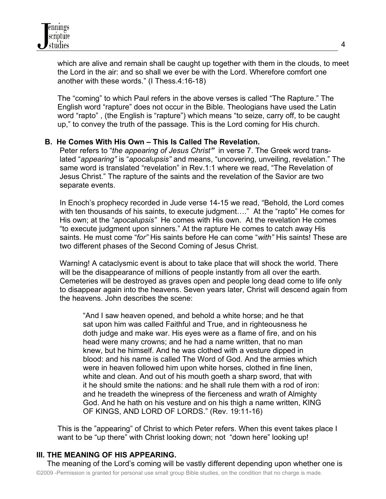which are alive and remain shall be caught up together with them in the clouds, to meet the Lord in the air: and so shall we ever be with the Lord. Wherefore comfort one another with these words." (I Thess.4:16-18)

 The "coming" to which Paul refers in the above verses is called "The Rapture." The English word "rapture" does not occur in the Bible. Theologians have used the Latin word "rapto" , (the English is "rapture") which means "to seize, carry off, to be caught up," to convey the truth of the passage. This is the Lord coming for His church.

### **B. He Comes With His Own – This Is Called The Revelation.**

 Peter refers to "*the appearing of Jesus Christ"* in verse 7. The Greek word trans lated "*appearing"* is "*apocalupsis"* and means, "uncovering, unveiling, revelation." The same word is translated "revelation" in Rev.1:1 where we read, "The Revelation of Jesus Christ." The rapture of the saints and the revelation of the Savior are two separate events.

 In Enoch's prophecy recorded in Jude verse 14-15 we read, "Behold, the Lord comes with ten thousands of his saints, to execute judgment...." At the "rapto" He comes for His own; at the "*apocalupsis"* He comes with His own. At the revelation He comes "to execute judgment upon sinners." At the rapture He comes to catch away His saints. He must come "*for"* His saints before He can come "*with"* His saints! These are two different phases of the Second Coming of Jesus Christ.

 Warning! A cataclysmic event is about to take place that will shock the world. There will be the disappearance of millions of people instantly from all over the earth. Cemeteries will be destroyed as graves open and people long dead come to life only to disappear again into the heavens. Seven years later, Christ will descend again from the heavens. John describes the scene:

 "And I saw heaven opened, and behold a white horse; and he that sat upon him was called Faithful and True, and in righteousness he doth judge and make war. His eyes were as a flame of fire, and on his head were many crowns; and he had a name written, that no man knew, but he himself. And he was clothed with a vesture dipped in blood: and his name is called The Word of God. And the armies which were in heaven followed him upon white horses, clothed in fine linen, white and clean. And out of his mouth goeth a sharp sword, that with it he should smite the nations: and he shall rule them with a rod of iron: and he treadeth the winepress of the fierceness and wrath of Almighty God. And he hath on his vesture and on his thigh a name written, KING OF KINGS, AND LORD OF LORDS." (Rev. 19:11-16)

 This is the "appearing" of Christ to which Peter refers. When this event takes place I want to be "up there" with Christ looking down; not "down here" looking up!

# **III. THE MEANING OF HIS APPEARING.**

 The meaning of the Lord's coming will be vastly different depending upon whether one is ©2009 -Permission is granted for personal use small group Bible studies, on the condition that no charge is made.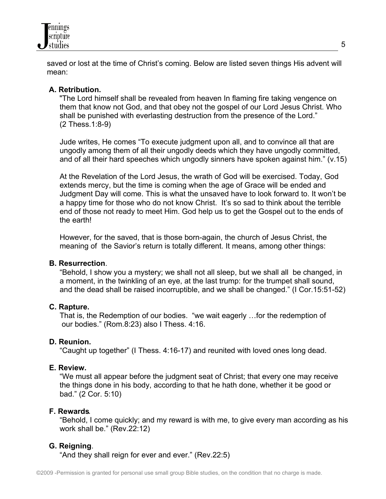

 saved or lost at the time of Christ's coming. Below are listed seven things His advent will mean:

### **A. Retribution.**

"The Lord himself shall be revealed from heaven In flaming fire taking vengence on them that know not God, and that obey not the gospel of our Lord Jesus Christ. Who shall be punished with everlasting destruction from the presence of the Lord." (2 Thess.1:8-9)

 Jude writes, He comes "To execute judgment upon all, and to convince all that are ungodly among them of all their ungodly deeds which they have ungodly committed, and of all their hard speeches which ungodly sinners have spoken against him." (v.15)

 At the Revelation of the Lord Jesus, the wrath of God will be exercised. Today, God extends mercy, but the time is coming when the age of Grace will be ended and Judgment Day will come. This is what the unsaved have to look forward to. It won't be a happy time for those who do not know Christ. It's so sad to think about the terrible end of those not ready to meet Him. God help us to get the Gospel out to the ends of the earth!

 However, for the saved, that is those born-again, the church of Jesus Christ, the meaning of the Savior's return is totally different. It means, among other things:

#### **B. Resurrection**.

 "Behold, I show you a mystery; we shall not all sleep, but we shall all be changed, in a moment, in the twinkling of an eye, at the last trump: for the trumpet shall sound, and the dead shall be raised incorruptible, and we shall be changed." (I Cor.15:51-52)

#### **C. Rapture.**

 That is, the Redemption of our bodies. "we wait eagerly …for the redemption of our bodies." (Rom.8:23) also I Thess. 4:16.

#### **D. Reunion.**

"Caught up together" (I Thess. 4:16-17) and reunited with loved ones long dead.

#### **E. Review.**

 "We must all appear before the judgment seat of Christ; that every one may receive the things done in his body, according to that he hath done, whether it be good or bad." (2 Cor. 5:10)

### **F. Rewards**.

 "Behold, I come quickly; and my reward is with me, to give every man according as his work shall be." (Rev.22:12)

### **G. Reigning**.

"And they shall reign for ever and ever." (Rev.22:5)